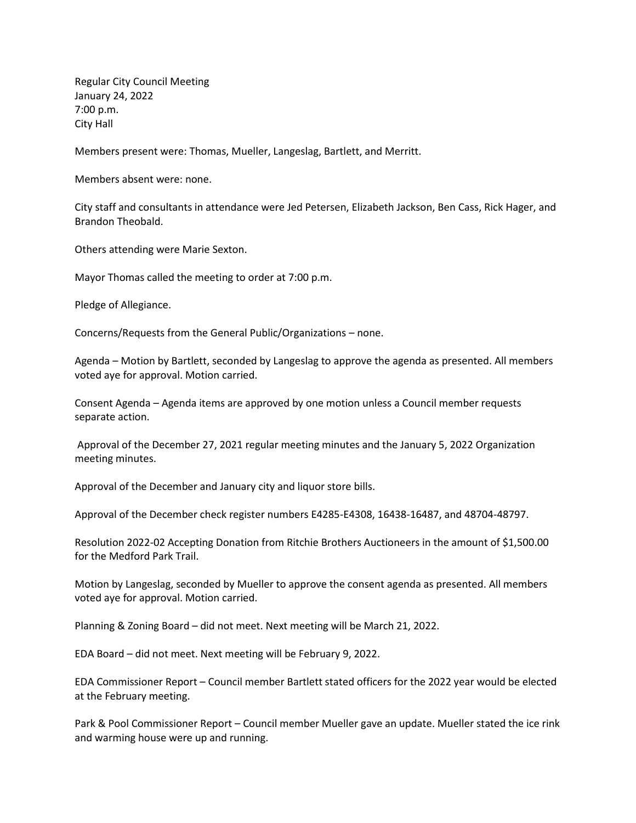Regular City Council Meeting January 24, 2022 7:00 p.m. City Hall

Members present were: Thomas, Mueller, Langeslag, Bartlett, and Merritt.

Members absent were: none.

City staff and consultants in attendance were Jed Petersen, Elizabeth Jackson, Ben Cass, Rick Hager, and Brandon Theobald.

Others attending were Marie Sexton.

Mayor Thomas called the meeting to order at 7:00 p.m.

Pledge of Allegiance.

Concerns/Requests from the General Public/Organizations – none.

Agenda – Motion by Bartlett, seconded by Langeslag to approve the agenda as presented. All members voted aye for approval. Motion carried.

Consent Agenda – Agenda items are approved by one motion unless a Council member requests separate action.

Approval of the December 27, 2021 regular meeting minutes and the January 5, 2022 Organization meeting minutes.

Approval of the December and January city and liquor store bills.

Approval of the December check register numbers E4285-E4308, 16438-16487, and 48704-48797.

Resolution 2022-02 Accepting Donation from Ritchie Brothers Auctioneers in the amount of \$1,500.00 for the Medford Park Trail.

Motion by Langeslag, seconded by Mueller to approve the consent agenda as presented. All members voted aye for approval. Motion carried.

Planning & Zoning Board – did not meet. Next meeting will be March 21, 2022.

EDA Board – did not meet. Next meeting will be February 9, 2022.

EDA Commissioner Report – Council member Bartlett stated officers for the 2022 year would be elected at the February meeting.

Park & Pool Commissioner Report – Council member Mueller gave an update. Mueller stated the ice rink and warming house were up and running.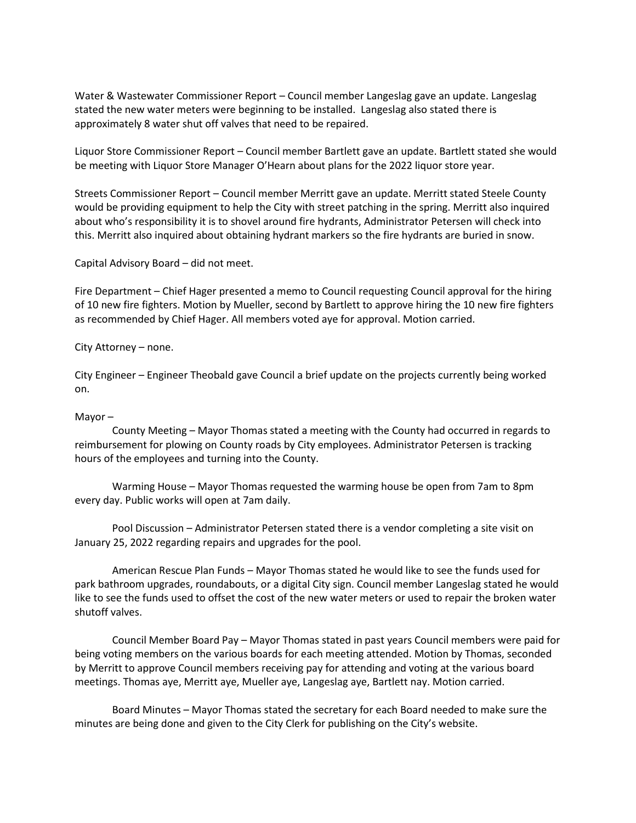Water & Wastewater Commissioner Report – Council member Langeslag gave an update. Langeslag stated the new water meters were beginning to be installed. Langeslag also stated there is approximately 8 water shut off valves that need to be repaired.

Liquor Store Commissioner Report – Council member Bartlett gave an update. Bartlett stated she would be meeting with Liquor Store Manager O'Hearn about plans for the 2022 liquor store year.

Streets Commissioner Report – Council member Merritt gave an update. Merritt stated Steele County would be providing equipment to help the City with street patching in the spring. Merritt also inquired about who's responsibility it is to shovel around fire hydrants, Administrator Petersen will check into this. Merritt also inquired about obtaining hydrant markers so the fire hydrants are buried in snow.

Capital Advisory Board – did not meet.

Fire Department – Chief Hager presented a memo to Council requesting Council approval for the hiring of 10 new fire fighters. Motion by Mueller, second by Bartlett to approve hiring the 10 new fire fighters as recommended by Chief Hager. All members voted aye for approval. Motion carried.

City Attorney – none.

City Engineer – Engineer Theobald gave Council a brief update on the projects currently being worked on.

## Mayor –

County Meeting – Mayor Thomas stated a meeting with the County had occurred in regards to reimbursement for plowing on County roads by City employees. Administrator Petersen is tracking hours of the employees and turning into the County.

Warming House – Mayor Thomas requested the warming house be open from 7am to 8pm every day. Public works will open at 7am daily.

Pool Discussion – Administrator Petersen stated there is a vendor completing a site visit on January 25, 2022 regarding repairs and upgrades for the pool.

American Rescue Plan Funds – Mayor Thomas stated he would like to see the funds used for park bathroom upgrades, roundabouts, or a digital City sign. Council member Langeslag stated he would like to see the funds used to offset the cost of the new water meters or used to repair the broken water shutoff valves.

Council Member Board Pay – Mayor Thomas stated in past years Council members were paid for being voting members on the various boards for each meeting attended. Motion by Thomas, seconded by Merritt to approve Council members receiving pay for attending and voting at the various board meetings. Thomas aye, Merritt aye, Mueller aye, Langeslag aye, Bartlett nay. Motion carried.

Board Minutes – Mayor Thomas stated the secretary for each Board needed to make sure the minutes are being done and given to the City Clerk for publishing on the City's website.